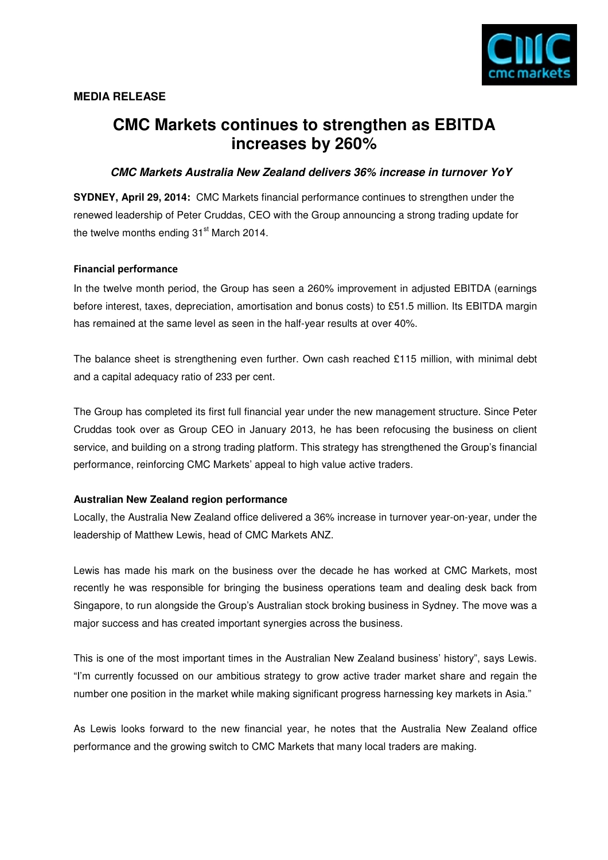



# **CMC Markets continues to strengthen as EBITDA increases by 260%**

**CMC Markets Australia New Zealand delivers 36% increase in turnover YoY** 

**SYDNEY, April 29, 2014:** CMC Markets financial performance continues to strengthen under the renewed leadership of Peter Cruddas, CEO with the Group announcing a strong trading update for the twelve months ending  $31<sup>st</sup>$  March 2014.

## Financial performance

In the twelve month period, the Group has seen a 260% improvement in adjusted EBITDA (earnings before interest, taxes, depreciation, amortisation and bonus costs) to £51.5 million. Its EBITDA margin has remained at the same level as seen in the half-year results at over 40%.

The balance sheet is strengthening even further. Own cash reached £115 million, with minimal debt and a capital adequacy ratio of 233 per cent.

The Group has completed its first full financial year under the new management structure. Since Peter Cruddas took over as Group CEO in January 2013, he has been refocusing the business on client service, and building on a strong trading platform. This strategy has strengthened the Group's financial performance, reinforcing CMC Markets' appeal to high value active traders.

## **Australian New Zealand region performance**

Locally, the Australia New Zealand office delivered a 36% increase in turnover year-on-year, under the leadership of Matthew Lewis, head of CMC Markets ANZ.

Lewis has made his mark on the business over the decade he has worked at CMC Markets, most recently he was responsible for bringing the business operations team and dealing desk back from Singapore, to run alongside the Group's Australian stock broking business in Sydney. The move was a major success and has created important synergies across the business.

This is one of the most important times in the Australian New Zealand business' history", says Lewis. "I'm currently focussed on our ambitious strategy to grow active trader market share and regain the number one position in the market while making significant progress harnessing key markets in Asia."

As Lewis looks forward to the new financial year, he notes that the Australia New Zealand office performance and the growing switch to CMC Markets that many local traders are making.